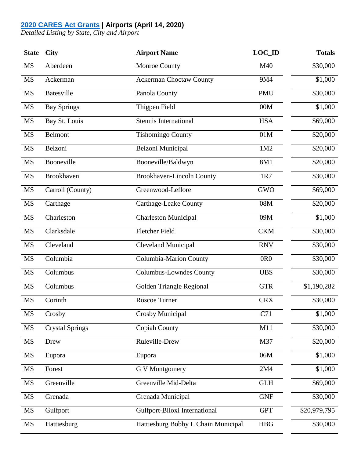## **[2020 CARES Act Grants](https://www.faa.gov/airports/cares_act/) | Airports (April 14, 2020)**

*Detailed Listing by State, City and Airport*

| <b>State</b> | <b>City</b>            | <b>Airport Name</b>                 | $LOC$ <sub>ID</sub>  | <b>Totals</b> |
|--------------|------------------------|-------------------------------------|----------------------|---------------|
| <b>MS</b>    | Aberdeen               | Monroe County                       | M40                  | \$30,000      |
| <b>MS</b>    | Ackerman               | <b>Ackerman Choctaw County</b>      | 9M4                  | \$1,000       |
| <b>MS</b>    | <b>Batesville</b>      | Panola County                       | <b>PMU</b>           | \$30,000      |
| <b>MS</b>    | <b>Bay Springs</b>     | Thigpen Field                       | 00M                  | \$1,000       |
| <b>MS</b>    | Bay St. Louis          | <b>Stennis International</b>        | <b>HSA</b>           | \$69,000      |
| <b>MS</b>    | <b>Belmont</b>         | <b>Tishomingo County</b>            | 01M                  | \$20,000      |
| <b>MS</b>    | Belzoni                | Belzoni Municipal                   | 1M2                  | \$20,000      |
| <b>MS</b>    | Booneville             | Booneville/Baldwyn                  | 8M1                  | \$20,000      |
| <b>MS</b>    | Brookhaven             | Brookhaven-Lincoln County           | 1R7                  | \$30,000      |
| <b>MS</b>    | Carroll (County)       | Greenwood-Leflore                   | <b>GWO</b>           | \$69,000      |
| <b>MS</b>    | Carthage               | <b>Carthage-Leake County</b>        | 08M                  | \$20,000      |
| <b>MS</b>    | Charleston             | <b>Charleston Municipal</b>         | 09M                  | \$1,000       |
| <b>MS</b>    | Clarksdale             | <b>Fletcher Field</b>               | <b>CKM</b>           | \$30,000      |
| <b>MS</b>    | Cleveland              | <b>Cleveland Municipal</b>          | <b>RNV</b>           | \$30,000      |
| <b>MS</b>    | Columbia               | Columbia-Marion County              | 0R <sub>0</sub>      | \$30,000      |
| <b>MS</b>    | Columbus               | <b>Columbus-Lowndes County</b>      | <b>UBS</b>           | \$30,000      |
| <b>MS</b>    | Columbus               | Golden Triangle Regional            | <b>GTR</b>           | \$1,190,282   |
| <b>MS</b>    | Corinth                | Roscoe Turner                       | <b>CRX</b>           | \$30,000      |
| <b>MS</b>    | Crosby                 | Crosby Municipal                    | C71                  | \$1,000       |
| <b>MS</b>    | <b>Crystal Springs</b> | <b>Copiah County</b>                | M11                  | \$30,000      |
| $\rm MS$     | Drew                   | Ruleville-Drew                      | M37                  | \$20,000      |
| <b>MS</b>    | Eupora                 | Eupora                              | 06M                  | \$1,000       |
| $\rm MS$     | Forest                 | <b>G V Montgomery</b>               | 2M4                  | \$1,000       |
| <b>MS</b>    | Greenville             | Greenville Mid-Delta                | $\operatorname{GLH}$ | \$69,000      |
| <b>MS</b>    | Grenada                | Grenada Municipal                   | <b>GNF</b>           | \$30,000      |
| <b>MS</b>    | Gulfport               | Gulfport-Biloxi International       | <b>GPT</b>           | \$20,979,795  |
| <b>MS</b>    | Hattiesburg            | Hattiesburg Bobby L Chain Municipal | ${\rm HBG}$          | \$30,000      |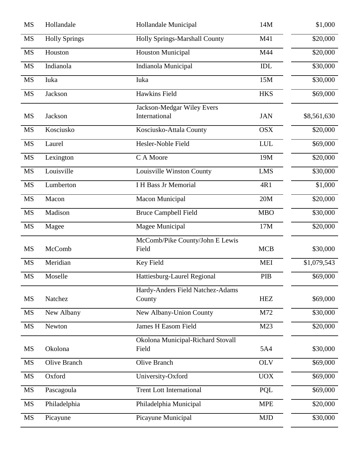| <b>MS</b> | Hollandale           | Hollandale Municipal                        | 14M        | \$1,000     |
|-----------|----------------------|---------------------------------------------|------------|-------------|
| <b>MS</b> | <b>Holly Springs</b> | Holly Springs-Marshall County               | M41        | \$20,000    |
| <b>MS</b> | Houston              | <b>Houston Municipal</b>                    | M44        | \$20,000    |
| <b>MS</b> | Indianola            | Indianola Municipal                         | IDL        | \$30,000    |
| <b>MS</b> | Iuka                 | Iuka                                        | 15M        | \$30,000    |
| <b>MS</b> | Jackson              | <b>Hawkins Field</b>                        | <b>HKS</b> | \$69,000    |
| <b>MS</b> | Jackson              | Jackson-Medgar Wiley Evers<br>International | <b>JAN</b> | \$8,561,630 |
| <b>MS</b> | Kosciusko            | Kosciusko-Attala County                     | <b>OSX</b> | \$20,000    |
| <b>MS</b> | Laurel               | Hesler-Noble Field                          | <b>LUL</b> | \$69,000    |
| <b>MS</b> | Lexington            | C A Moore                                   | 19M        | \$20,000    |
| <b>MS</b> | Louisville           | Louisville Winston County                   | <b>LMS</b> | \$30,000    |
| <b>MS</b> | Lumberton            | <b>I H Bass Jr Memorial</b>                 | 4R1        | \$1,000     |
| <b>MS</b> | Macon                | Macon Municipal                             | 20M        | \$20,000    |
| <b>MS</b> | Madison              | <b>Bruce Campbell Field</b>                 | <b>MBO</b> | \$30,000    |
| <b>MS</b> | Magee                | Magee Municipal                             | 17M        | \$20,000    |
|           |                      | McComb/Pike County/John E Lewis             |            |             |
| MS        | McComb               | Field                                       | <b>MCB</b> | \$30,000    |
| <b>MS</b> | Meridian             | Key Field                                   | <b>MEI</b> | \$1,079,543 |
| MS        | Moselle              | Hattiesburg-Laurel Regional                 | PIB        | \$69,000    |
| MS        | Natchez              | Hardy-Anders Field Natchez-Adams<br>County  | <b>HEZ</b> | \$69,000    |
| <b>MS</b> | New Albany           | New Albany-Union County                     | M72        | \$30,000    |
| <b>MS</b> | Newton               | <b>James H Easom Field</b>                  | M23        | \$20,000    |
|           |                      | Okolona Municipal-Richard Stovall           |            |             |
| <b>MS</b> | Okolona              | Field                                       | 5A4        | \$30,000    |
| <b>MS</b> | Olive Branch         | <b>Olive Branch</b>                         | <b>OLV</b> | \$69,000    |
| <b>MS</b> | Oxford               | University-Oxford                           | <b>UOX</b> | \$69,000    |
| <b>MS</b> | Pascagoula           | <b>Trent Lott International</b>             | PQL        | \$69,000    |
| <b>MS</b> | Philadelphia         | Philadelphia Municipal                      | <b>MPE</b> | \$20,000    |
| $\rm MS$  | Picayune             | Picayune Municipal                          | <b>MJD</b> | \$30,000    |